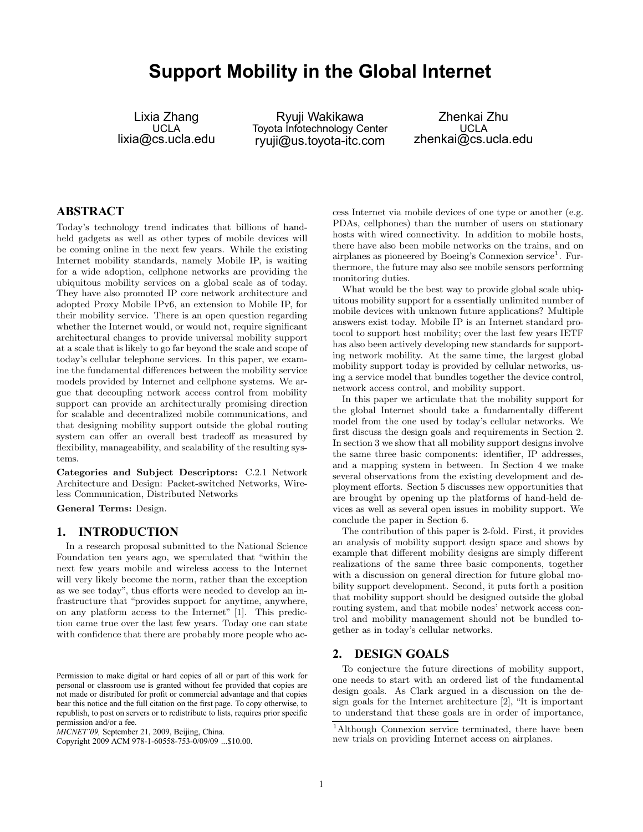# **Support Mobility in the Global Internet**

Lixia Zhang UCLA lixia@cs.ucla.edu

Ryuji Wakikawa Toyota Infotechnology Center ryuji@us.toyota-itc.com

Zhenkai Zhu UCLA zhenkai@cs.ucla.edu

## **ABSTRACT**

Today's technology trend indicates that billions of handheld gadgets as well as other types of mobile devices will be coming online in the next few years. While the existing Internet mobility standards, namely Mobile IP, is waiting for a wide adoption, cellphone networks are providing the ubiquitous mobility services on a global scale as of today. They have also promoted IP core network architecture and adopted Proxy Mobile IPv6, an extension to Mobile IP, for their mobility service. There is an open question regarding whether the Internet would, or would not, require significant architectural changes to provide universal mobility support at a scale that is likely to go far beyond the scale and scope of today's cellular telephone services. In this paper, we examine the fundamental differences between the mobility service models provided by Internet and cellphone systems. We argue that decoupling network access control from mobility support can provide an architecturally promising direction for scalable and decentralized mobile communications, and that designing mobility support outside the global routing system can offer an overall best tradeoff as measured by flexibility, manageability, and scalability of the resulting systems.

Categories and Subject Descriptors: C.2.1 Network Architecture and Design: Packet-switched Networks, Wireless Communication, Distributed Networks

General Terms: Design.

## **1. INTRODUCTION**

In a research proposal submitted to the National Science Foundation ten years ago, we speculated that "within the next few years mobile and wireless access to the Internet will very likely become the norm, rather than the exception as we see today", thus efforts were needed to develop an infrastructure that "provides support for anytime, anywhere, on any platform access to the Internet" [1]. This prediction came true over the last few years. Today one can state with confidence that there are probably more people who ac-

cess Internet via mobile devices of one type or another (e.g. PDAs, cellphones) than the number of users on stationary hosts with wired connectivity. In addition to mobile hosts, there have also been mobile networks on the trains, and on airplanes as pioneered by Boeing's Connexion service<sup>1</sup>. Furthermore, the future may also see mobile sensors performing monitoring duties.

What would be the best way to provide global scale ubiquitous mobility support for a essentially unlimited number of mobile devices with unknown future applications? Multiple answers exist today. Mobile IP is an Internet standard protocol to support host mobility; over the last few years IETF has also been actively developing new standards for supporting network mobility. At the same time, the largest global mobility support today is provided by cellular networks, using a service model that bundles together the device control, network access control, and mobility support.

In this paper we articulate that the mobility support for the global Internet should take a fundamentally different model from the one used by today's cellular networks. We first discuss the design goals and requirements in Section 2. In section 3 we show that all mobility support designs involve the same three basic components: identifier, IP addresses, and a mapping system in between. In Section 4 we make several observations from the existing development and deployment efforts. Section 5 discusses new opportunities that are brought by opening up the platforms of hand-held devices as well as several open issues in mobility support. We conclude the paper in Section 6.

The contribution of this paper is 2-fold. First, it provides an analysis of mobility support design space and shows by example that different mobility designs are simply different realizations of the same three basic components, together with a discussion on general direction for future global mobility support development. Second, it puts forth a position that mobility support should be designed outside the global routing system, and that mobile nodes' network access control and mobility management should not be bundled together as in today's cellular networks.

## **2. DESIGN GOALS**

To conjecture the future directions of mobility support, one needs to start with an ordered list of the fundamental design goals. As Clark argued in a discussion on the design goals for the Internet architecture [2], "It is important to understand that these goals are in order of importance,

Permission to make digital or hard copies of all or part of this work for personal or classroom use is granted without fee provided that copies are not made or distributed for profit or commercial advantage and that copies bear this notice and the full citation on the first page. To copy otherwise, to republish, to post on servers or to redistribute to lists, requires prior specific permission and/or a fee.

*MICNET'09,* September 21, 2009, Beijing, China.

Copyright 2009 ACM 978-1-60558-753-0/09/09 ...\$10.00.

<sup>&</sup>lt;sup>1</sup>Although Connexion service terminated, there have been new trials on providing Internet access on airplanes.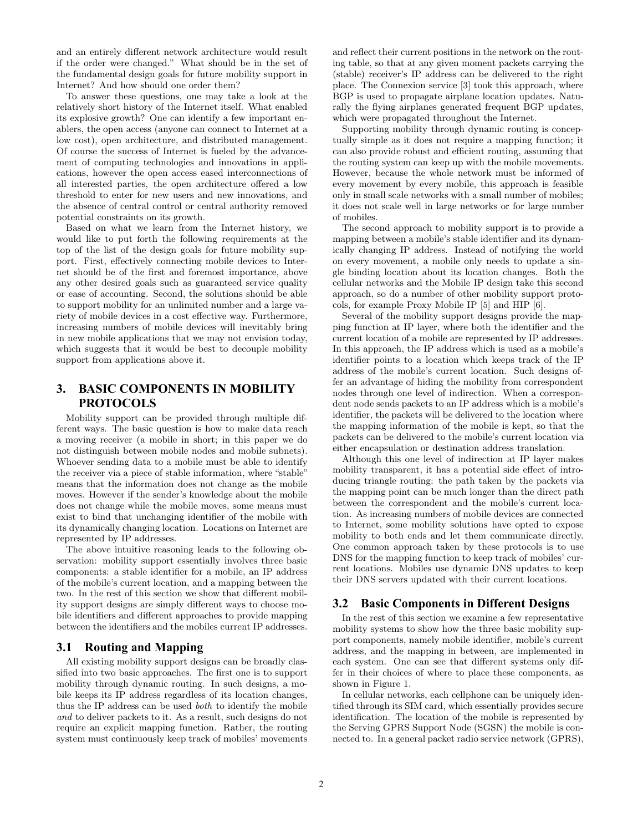and an entirely different network architecture would result if the order were changed." What should be in the set of the fundamental design goals for future mobility support in Internet? And how should one order them?

To answer these questions, one may take a look at the relatively short history of the Internet itself. What enabled its explosive growth? One can identify a few important enablers, the open access (anyone can connect to Internet at a low cost), open architecture, and distributed management. Of course the success of Internet is fueled by the advancement of computing technologies and innovations in applications, however the open access eased interconnections of all interested parties, the open architecture offered a low threshold to enter for new users and new innovations, and the absence of central control or central authority removed potential constraints on its growth.

Based on what we learn from the Internet history, we would like to put forth the following requirements at the top of the list of the design goals for future mobility support. First, effectively connecting mobile devices to Internet should be of the first and foremost importance, above any other desired goals such as guaranteed service quality or ease of accounting. Second, the solutions should be able to support mobility for an unlimited number and a large variety of mobile devices in a cost effective way. Furthermore, increasing numbers of mobile devices will inevitably bring in new mobile applications that we may not envision today, which suggests that it would be best to decouple mobility support from applications above it.

# **3. BASIC COMPONENTS IN MOBILITY PROTOCOLS**

Mobility support can be provided through multiple different ways. The basic question is how to make data reach a moving receiver (a mobile in short; in this paper we do not distinguish between mobile nodes and mobile subnets). Whoever sending data to a mobile must be able to identify the receiver via a piece of stable information, where "stable" means that the information does not change as the mobile moves. However if the sender's knowledge about the mobile does not change while the mobile moves, some means must exist to bind that unchanging identifier of the mobile with its dynamically changing location. Locations on Internet are represented by IP addresses.

The above intuitive reasoning leads to the following observation: mobility support essentially involves three basic components: a stable identifier for a mobile, an IP address of the mobile's current location, and a mapping between the two. In the rest of this section we show that different mobility support designs are simply different ways to choose mobile identifiers and different approaches to provide mapping between the identifiers and the mobiles current IP addresses.

# **3.1 Routing and Mapping**

All existing mobility support designs can be broadly classified into two basic approaches. The first one is to support mobility through dynamic routing. In such designs, a mobile keeps its IP address regardless of its location changes, thus the IP address can be used both to identify the mobile and to deliver packets to it. As a result, such designs do not require an explicit mapping function. Rather, the routing system must continuously keep track of mobiles' movements and reflect their current positions in the network on the routing table, so that at any given moment packets carrying the (stable) receiver's IP address can be delivered to the right place. The Connexion service [3] took this approach, where BGP is used to propagate airplane location updates. Naturally the flying airplanes generated frequent BGP updates, which were propagated throughout the Internet.

Supporting mobility through dynamic routing is conceptually simple as it does not require a mapping function; it can also provide robust and efficient routing, assuming that the routing system can keep up with the mobile movements. However, because the whole network must be informed of every movement by every mobile, this approach is feasible only in small scale networks with a small number of mobiles; it does not scale well in large networks or for large number of mobiles.

The second approach to mobility support is to provide a mapping between a mobile's stable identifier and its dynamically changing IP address. Instead of notifying the world on every movement, a mobile only needs to update a single binding location about its location changes. Both the cellular networks and the Mobile IP design take this second approach, so do a number of other mobility support protocols, for example Proxy Mobile IP [5] and HIP [6].

Several of the mobility support designs provide the mapping function at IP layer, where both the identifier and the current location of a mobile are represented by IP addresses. In this approach, the IP address which is used as a mobile's identifier points to a location which keeps track of the IP address of the mobile's current location. Such designs offer an advantage of hiding the mobility from correspondent nodes through one level of indirection. When a correspondent node sends packets to an IP address which is a mobile's identifier, the packets will be delivered to the location where the mapping information of the mobile is kept, so that the packets can be delivered to the mobile's current location via either encapsulation or destination address translation.

Although this one level of indirection at IP layer makes mobility transparent, it has a potential side effect of introducing triangle routing: the path taken by the packets via the mapping point can be much longer than the direct path between the correspondent and the mobile's current location. As increasing numbers of mobile devices are connected to Internet, some mobility solutions have opted to expose mobility to both ends and let them communicate directly. One common approach taken by these protocols is to use DNS for the mapping function to keep track of mobiles' current locations. Mobiles use dynamic DNS updates to keep their DNS servers updated with their current locations.

# **3.2 Basic Components in Different Designs**

In the rest of this section we examine a few representative mobility systems to show how the three basic mobility support components, namely mobile identifier, mobile's current address, and the mapping in between, are implemented in each system. One can see that different systems only differ in their choices of where to place these components, as shown in Figure 1.

In cellular networks, each cellphone can be uniquely identified through its SIM card, which essentially provides secure identification. The location of the mobile is represented by the Serving GPRS Support Node (SGSN) the mobile is connected to. In a general packet radio service network (GPRS),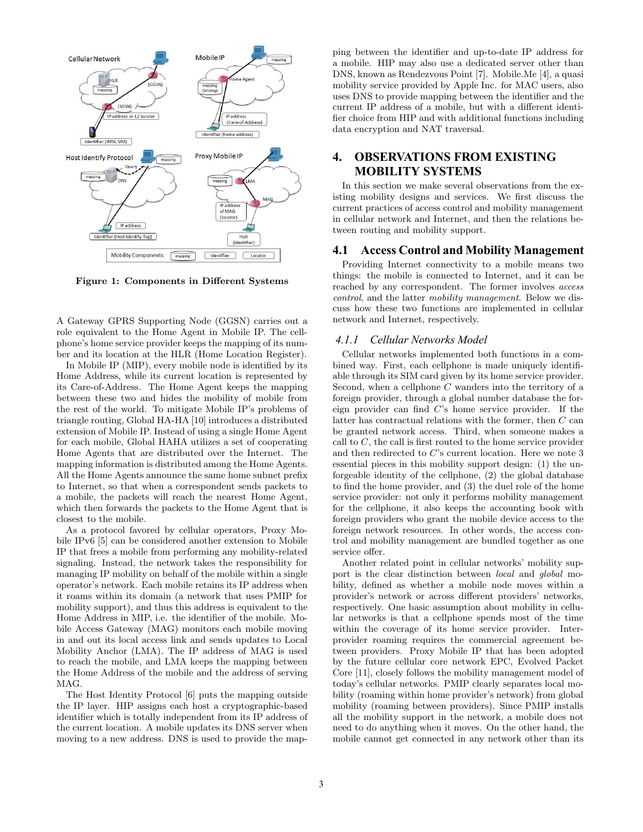

Figure 1: Components in Different Systems

A Gateway GPRS Supporting Node (GGSN) carries out a role equivalent to the Home Agent in Mobile IP. The cellphone's home service provider keeps the mapping of its number and its location at the HLR (Home Location Register).

In Mobile IP (MIP), every mobile node is identified by its Home Address, while its current location is represented by its Care-of-Address. The Home Agent keeps the mapping between these two and hides the mobility of mobile from the rest of the world. To mitigate Mobile IP's problems of triangle routing, Global HA-HA [10] introduces a distributed extension of Mobile IP. Instead of using a single Home Agent for each mobile, Global HAHA utilizes a set of cooperating Home Agents that are distributed over the Internet. The mapping information is distributed among the Home Agents. All the Home Agents announce the same home subnet prefix to Internet, so that when a correspondent sends packets to a mobile, the packets will reach the nearest Home Agent, which then forwards the packets to the Home Agent that is closest to the mobile.

As a protocol favored by cellular operators, Proxy Mobile IPv6 [5] can be considered another extension to Mobile IP that frees a mobile from performing any mobility-related signaling. Instead, the network takes the responsibility for managing IP mobility on behalf of the mobile within a single operator's network. Each mobile retains its IP address when it roams within its domain (a network that uses PMIP for mobility support), and thus this address is equivalent to the Home Address in MIP, i.e. the identifier of the mobile. Mobile Access Gateway (MAG) monitors each mobile moving in and out its local access link and sends updates to Local Mobility Anchor (LMA). The IP address of MAG is used to reach the mobile, and LMA keeps the mapping between the Home Address of the mobile and the address of serving MAG.

The Host Identity Protocol [6] puts the mapping outside the IP layer. HIP assigns each host a cryptographic-based identifier which is totally independent from its IP address of the current location. A mobile updates its DNS server when moving to a new address. DNS is used to provide the mapping between the identifier and up-to-date IP address for a mobile. HIP may also use a dedicated server other than DNS, known as Rendezvous Point [7]. Mobile.Me [4], a quasi mobility service provided by Apple Inc. for MAC users, also uses DNS to provide mapping between the identifier and the current IP address of a mobile, but with a different identifier choice from HIP and with additional functions including data encryption and NAT traversal.

# **4. OBSERVATIONS FROM EXISTING MOBILITY SYSTEMS**

In this section we make several observations from the existing mobility designs and services. We first discuss the current practices of access control and mobility management in cellular network and Internet, and then the relations between routing and mobility support.

#### **4.1 Access Control and Mobility Management**

Providing Internet connectivity to a mobile means two things: the mobile is connected to Internet, and it can be reached by any correspondent. The former involves access control, and the latter mobility management. Below we discuss how these two functions are implemented in cellular network and Internet, respectively.

#### *4.1.1 Cellular Networks Model*

Cellular networks implemented both functions in a combined way. First, each cellphone is made uniquely identifiable through its SIM card given by its home service provider. Second, when a cellphone  $C$  wanders into the territory of a foreign provider, through a global number database the foreign provider can find C's home service provider. If the latter has contractual relations with the former, then C can be granted network access. Third, when someone makes a call to  $C$ , the call is first routed to the home service provider and then redirected to C's current location. Here we note 3 essential pieces in this mobility support design: (1) the unforgeable identity of the cellphone, (2) the global database to find the home provider, and (3) the duel role of the home service provider: not only it performs mobility management for the cellphone, it also keeps the accounting book with foreign providers who grant the mobile device access to the foreign network resources. In other words, the access control and mobility management are bundled together as one service offer.

Another related point in cellular networks' mobility support is the clear distinction between local and global mobility, defined as whether a mobile node moves within a provider's network or across different providers' networks, respectively. One basic assumption about mobility in cellular networks is that a cellphone spends most of the time within the coverage of its home service provider. Interprovider roaming requires the commercial agreement between providers. Proxy Mobile IP that has been adopted by the future cellular core network EPC, Evolved Packet Core [11], closely follows the mobility management model of today's cellular networks. PMIP clearly separates local mobility (roaming within home provider's network) from global mobility (roaming between providers). Since PMIP installs all the mobility support in the network, a mobile does not need to do anything when it moves. On the other hand, the mobile cannot get connected in any network other than its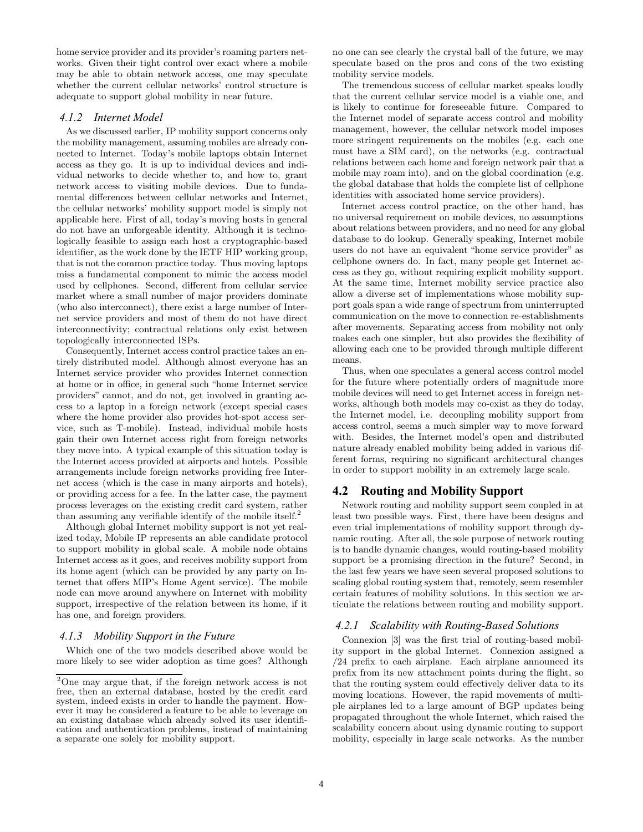home service provider and its provider's roaming parters networks. Given their tight control over exact where a mobile may be able to obtain network access, one may speculate whether the current cellular networks' control structure is adequate to support global mobility in near future.

#### *4.1.2 Internet Model*

As we discussed earlier, IP mobility support concerns only the mobility management, assuming mobiles are already connected to Internet. Today's mobile laptops obtain Internet access as they go. It is up to individual devices and individual networks to decide whether to, and how to, grant network access to visiting mobile devices. Due to fundamental differences between cellular networks and Internet, the cellular networks' mobility support model is simply not applicable here. First of all, today's moving hosts in general do not have an unforgeable identity. Although it is technologically feasible to assign each host a cryptographic-based identifier, as the work done by the IETF HIP working group, that is not the common practice today. Thus moving laptops miss a fundamental component to mimic the access model used by cellphones. Second, different from cellular service market where a small number of major providers dominate (who also interconnect), there exist a large number of Internet service providers and most of them do not have direct interconnectivity; contractual relations only exist between topologically interconnected ISPs.

Consequently, Internet access control practice takes an entirely distributed model. Although almost everyone has an Internet service provider who provides Internet connection at home or in office, in general such "home Internet service providers" cannot, and do not, get involved in granting access to a laptop in a foreign network (except special cases where the home provider also provides hot-spot access service, such as T-mobile). Instead, individual mobile hosts gain their own Internet access right from foreign networks they move into. A typical example of this situation today is the Internet access provided at airports and hotels. Possible arrangements include foreign networks providing free Internet access (which is the case in many airports and hotels), or providing access for a fee. In the latter case, the payment process leverages on the existing credit card system, rather than assuming any verifiable identify of the mobile itself.<sup>2</sup>

Although global Internet mobility support is not yet realized today, Mobile IP represents an able candidate protocol to support mobility in global scale. A mobile node obtains Internet access as it goes, and receives mobility support from its home agent (which can be provided by any party on Internet that offers MIP's Home Agent service). The mobile node can move around anywhere on Internet with mobility support, irrespective of the relation between its home, if it has one, and foreign providers.

#### *4.1.3 Mobility Support in the Future*

Which one of the two models described above would be more likely to see wider adoption as time goes? Although

no one can see clearly the crystal ball of the future, we may speculate based on the pros and cons of the two existing mobility service models.

The tremendous success of cellular market speaks loudly that the current cellular service model is a viable one, and is likely to continue for foreseeable future. Compared to the Internet model of separate access control and mobility management, however, the cellular network model imposes more stringent requirements on the mobiles (e.g. each one must have a SIM card), on the networks (e.g. contractual relations between each home and foreign network pair that a mobile may roam into), and on the global coordination (e.g. the global database that holds the complete list of cellphone identities with associated home service providers).

Internet access control practice, on the other hand, has no universal requirement on mobile devices, no assumptions about relations between providers, and no need for any global database to do lookup. Generally speaking, Internet mobile users do not have an equivalent "home service provider" as cellphone owners do. In fact, many people get Internet access as they go, without requiring explicit mobility support. At the same time, Internet mobility service practice also allow a diverse set of implementations whose mobility support goals span a wide range of spectrum from uninterrupted communication on the move to connection re-establishments after movements. Separating access from mobility not only makes each one simpler, but also provides the flexibility of allowing each one to be provided through multiple different means.

Thus, when one speculates a general access control model for the future where potentially orders of magnitude more mobile devices will need to get Internet access in foreign networks, although both models may co-exist as they do today, the Internet model, i.e. decoupling mobility support from access control, seems a much simpler way to move forward with. Besides, the Internet model's open and distributed nature already enabled mobility being added in various different forms, requiring no significant architectural changes in order to support mobility in an extremely large scale.

# **4.2 Routing and Mobility Support**

Network routing and mobility support seem coupled in at least two possible ways. First, there have been designs and even trial implementations of mobility support through dynamic routing. After all, the sole purpose of network routing is to handle dynamic changes, would routing-based mobility support be a promising direction in the future? Second, in the last few years we have seen several proposed solutions to scaling global routing system that, remotely, seem resembler certain features of mobility solutions. In this section we articulate the relations between routing and mobility support.

#### *4.2.1 Scalability with Routing-Based Solutions*

Connexion [3] was the first trial of routing-based mobility support in the global Internet. Connexion assigned a /24 prefix to each airplane. Each airplane announced its prefix from its new attachment points during the flight, so that the routing system could effectively deliver data to its moving locations. However, the rapid movements of multiple airplanes led to a large amount of BGP updates being propagated throughout the whole Internet, which raised the scalability concern about using dynamic routing to support mobility, especially in large scale networks. As the number

<sup>2</sup>One may argue that, if the foreign network access is not free, then an external database, hosted by the credit card system, indeed exists in order to handle the payment. However it may be considered a feature to be able to leverage on an existing database which already solved its user identification and authentication problems, instead of maintaining a separate one solely for mobility support.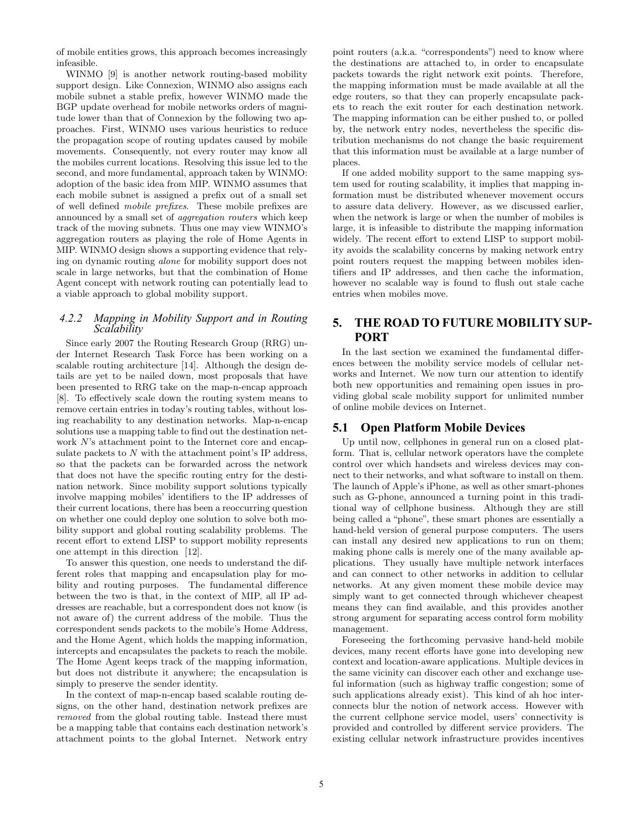of mobile entities grows, this approach becomes increasingly infeasible.

WINMO [9] is another network routing-based mobility support design. Like Connexion, WINMO also assigns each mobile subnet a stable prefix, however WINMO made the BGP update overhead for mobile networks orders of magnitude lower than that of Connexion by the following two approaches. First, WINMO uses various heuristics to reduce the propagation scope of routing updates caused by mobile movements. Consequently, not every router may know all the mobiles current locations. Resolving this issue led to the second, and more fundamental, approach taken by WINMO: adoption of the basic idea from MIP. WINMO assumes that each mobile subnet is assigned a prefix out of a small set of well defined mobile prefixes. These mobile prefixes are announced by a small set of aggregation routers which keep track of the moving subnets. Thus one may view WINMO's aggregation routers as playing the role of Home Agents in MIP. WINMO design shows a supporting evidence that relying on dynamic routing alone for mobility support does not scale in large networks, but that the combination of Home Agent concept with network routing can potentially lead to a viable approach to global mobility support.

## *4.2.2 Mapping in Mobility Support and in Routing Scalability*

Since early 2007 the Routing Research Group (RRG) under Internet Research Task Force has been working on a scalable routing architecture [14]. Although the design details are yet to be nailed down, most proposals that have been presented to RRG take on the map-n-encap approach [8]. To effectively scale down the routing system means to remove certain entries in today's routing tables, without losing reachability to any destination networks. Map-n-encap solutions use a mapping table to find out the destination network N's attachment point to the Internet core and encapsulate packets to  $N$  with the attachment point's IP address, so that the packets can be forwarded across the network that does not have the specific routing entry for the destination network. Since mobility support solutions typically involve mapping mobiles' identifiers to the IP addresses of their current locations, there has been a reoccurring question on whether one could deploy one solution to solve both mobility support and global routing scalability problems. The recent effort to extend LISP to support mobility represents one attempt in this direction [12].

To answer this question, one needs to understand the different roles that mapping and encapsulation play for mobility and routing purposes. The fundamental difference between the two is that, in the context of MIP, all IP addresses are reachable, but a correspondent does not know (is not aware of) the current address of the mobile. Thus the correspondent sends packets to the mobile's Home Address, and the Home Agent, which holds the mapping information, intercepts and encapsulates the packets to reach the mobile. The Home Agent keeps track of the mapping information, but does not distribute it anywhere; the encapsulation is simply to preserve the sender identity.

In the context of map-n-encap based scalable routing designs, on the other hand, destination network prefixes are removed from the global routing table. Instead there must be a mapping table that contains each destination network's attachment points to the global Internet. Network entry

point routers (a.k.a. "correspondents") need to know where the destinations are attached to, in order to encapsulate packets towards the right network exit points. Therefore, the mapping information must be made available at all the edge routers, so that they can properly encapsulate packets to reach the exit router for each destination network. The mapping information can be either pushed to, or polled by, the network entry nodes, nevertheless the specific distribution mechanisms do not change the basic requirement that this information must be available at a large number of places.

If one added mobility support to the same mapping system used for routing scalability, it implies that mapping information must be distributed whenever movement occurs to assure data delivery. However, as we discussed earlier, when the network is large or when the number of mobiles is large, it is infeasible to distribute the mapping information widely. The recent effort to extend LISP to support mobility avoids the scalability concerns by making network entry point routers request the mapping between mobiles identifiers and IP addresses, and then cache the information, however no scalable way is found to flush out stale cache entries when mobiles move.

# **5. THE ROAD TO FUTURE MOBILITY SUP-PORT**

In the last section we examined the fundamental differences between the mobility service models of cellular networks and Internet. We now turn our attention to identify both new opportunities and remaining open issues in providing global scale mobility support for unlimited number of online mobile devices on Internet.

# **5.1 Open Platform Mobile Devices**

Up until now, cellphones in general run on a closed platform. That is, cellular network operators have the complete control over which handsets and wireless devices may connect to their networks, and what software to install on them. The launch of Apple's iPhone, as well as other smart-phones such as G-phone, announced a turning point in this traditional way of cellphone business. Although they are still being called a "phone", these smart phones are essentially a hand-held version of general purpose computers. The users can install any desired new applications to run on them; making phone calls is merely one of the many available applications. They usually have multiple network interfaces and can connect to other networks in addition to cellular networks. At any given moment these mobile device may simply want to get connected through whichever cheapest means they can find available, and this provides another strong argument for separating access control form mobility management.

Foreseeing the forthcoming pervasive hand-held mobile devices, many recent efforts have gone into developing new context and location-aware applications. Multiple devices in the same vicinity can discover each other and exchange useful information (such as highway traffic congestion; some of such applications already exist). This kind of ah hoc interconnects blur the notion of network access. However with the current cellphone service model, users' connectivity is provided and controlled by different service providers. The existing cellular network infrastructure provides incentives